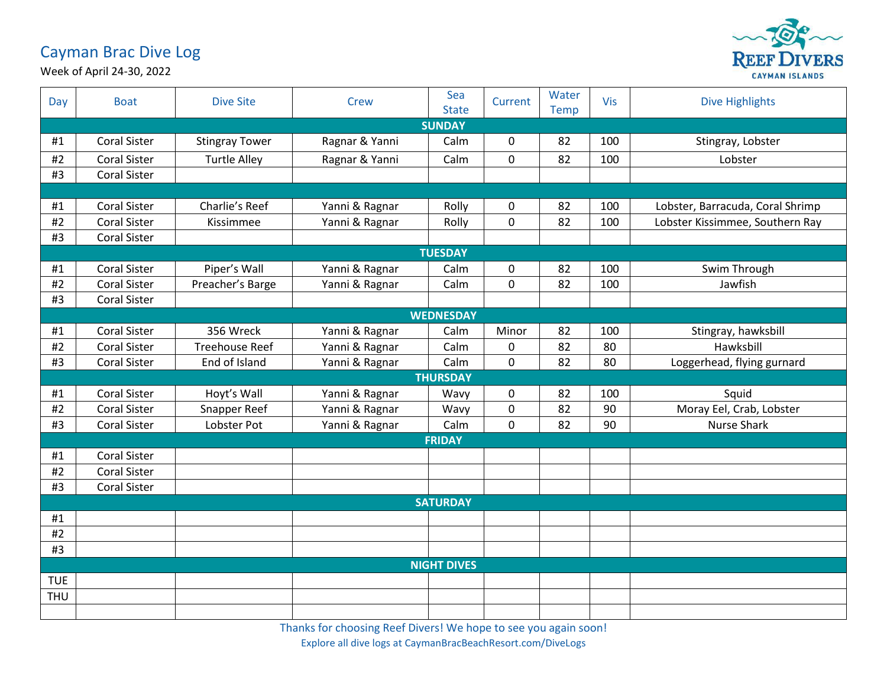## Cayman Brac Dive Log



Week of April 24-30, 2022

| Day                | <b>Boat</b>         | <b>Dive Site</b>      | <b>Crew</b>    | Sea<br><b>State</b> | Current     | Water<br><b>Temp</b> | <b>Vis</b> | <b>Dive Highlights</b>           |  |  |  |
|--------------------|---------------------|-----------------------|----------------|---------------------|-------------|----------------------|------------|----------------------------------|--|--|--|
|                    | <b>SUNDAY</b>       |                       |                |                     |             |                      |            |                                  |  |  |  |
| #1                 | <b>Coral Sister</b> | <b>Stingray Tower</b> | Ragnar & Yanni | Calm                | 0           | 82                   | 100        | Stingray, Lobster                |  |  |  |
| #2                 | <b>Coral Sister</b> | <b>Turtle Alley</b>   | Ragnar & Yanni | Calm                | 0           | 82                   | 100        | Lobster                          |  |  |  |
| #3                 | <b>Coral Sister</b> |                       |                |                     |             |                      |            |                                  |  |  |  |
|                    |                     |                       |                |                     |             |                      |            |                                  |  |  |  |
| #1                 | <b>Coral Sister</b> | Charlie's Reef        | Yanni & Ragnar | Rolly               | 0           | 82                   | 100        | Lobster, Barracuda, Coral Shrimp |  |  |  |
| #2                 | <b>Coral Sister</b> | Kissimmee             | Yanni & Ragnar | Rolly               | $\mathbf 0$ | 82                   | 100        | Lobster Kissimmee, Southern Ray  |  |  |  |
| #3                 | <b>Coral Sister</b> |                       |                |                     |             |                      |            |                                  |  |  |  |
| <b>TUESDAY</b>     |                     |                       |                |                     |             |                      |            |                                  |  |  |  |
| #1                 | <b>Coral Sister</b> | Piper's Wall          | Yanni & Ragnar | Calm                | $\mathbf 0$ | 82                   | 100        | Swim Through                     |  |  |  |
| #2                 | <b>Coral Sister</b> | Preacher's Barge      | Yanni & Ragnar | Calm                | $\pmb{0}$   | 82                   | 100        | Jawfish                          |  |  |  |
| #3                 | <b>Coral Sister</b> |                       |                |                     |             |                      |            |                                  |  |  |  |
|                    |                     |                       |                | <b>WEDNESDAY</b>    |             |                      |            |                                  |  |  |  |
| #1                 | <b>Coral Sister</b> | 356 Wreck             | Yanni & Ragnar | Calm                | Minor       | 82                   | 100        | Stingray, hawksbill              |  |  |  |
| #2                 | <b>Coral Sister</b> | <b>Treehouse Reef</b> | Yanni & Ragnar | Calm                | $\pmb{0}$   | 82                   | 80         | Hawksbill                        |  |  |  |
| #3                 | <b>Coral Sister</b> | End of Island         | Yanni & Ragnar | Calm                | $\mathbf 0$ | 82                   | 80         | Loggerhead, flying gurnard       |  |  |  |
|                    |                     |                       |                | <b>THURSDAY</b>     |             |                      |            |                                  |  |  |  |
| #1                 | <b>Coral Sister</b> | Hoyt's Wall           | Yanni & Ragnar | Wavy                | $\mathbf 0$ | 82                   | 100        | Squid                            |  |  |  |
| #2                 | <b>Coral Sister</b> | Snapper Reef          | Yanni & Ragnar | Wavy                | $\mathbf 0$ | 82                   | 90         | Moray Eel, Crab, Lobster         |  |  |  |
| #3                 | <b>Coral Sister</b> | Lobster Pot           | Yanni & Ragnar | Calm                | $\mathbf 0$ | 82                   | 90         | <b>Nurse Shark</b>               |  |  |  |
|                    | <b>FRIDAY</b>       |                       |                |                     |             |                      |            |                                  |  |  |  |
| #1                 | <b>Coral Sister</b> |                       |                |                     |             |                      |            |                                  |  |  |  |
| #2                 | <b>Coral Sister</b> |                       |                |                     |             |                      |            |                                  |  |  |  |
| #3                 | <b>Coral Sister</b> |                       |                |                     |             |                      |            |                                  |  |  |  |
|                    | <b>SATURDAY</b>     |                       |                |                     |             |                      |            |                                  |  |  |  |
| #1                 |                     |                       |                |                     |             |                      |            |                                  |  |  |  |
| #2                 |                     |                       |                |                     |             |                      |            |                                  |  |  |  |
| #3                 |                     |                       |                |                     |             |                      |            |                                  |  |  |  |
| <b>NIGHT DIVES</b> |                     |                       |                |                     |             |                      |            |                                  |  |  |  |
| <b>TUE</b>         |                     |                       |                |                     |             |                      |            |                                  |  |  |  |
| <b>THU</b>         |                     |                       |                |                     |             |                      |            |                                  |  |  |  |
|                    |                     |                       |                |                     |             |                      |            |                                  |  |  |  |

Thanks for choosing Reef Divers! We hope to see you again soon! Explore all dive logs at CaymanBracBeachResort.com/DiveLogs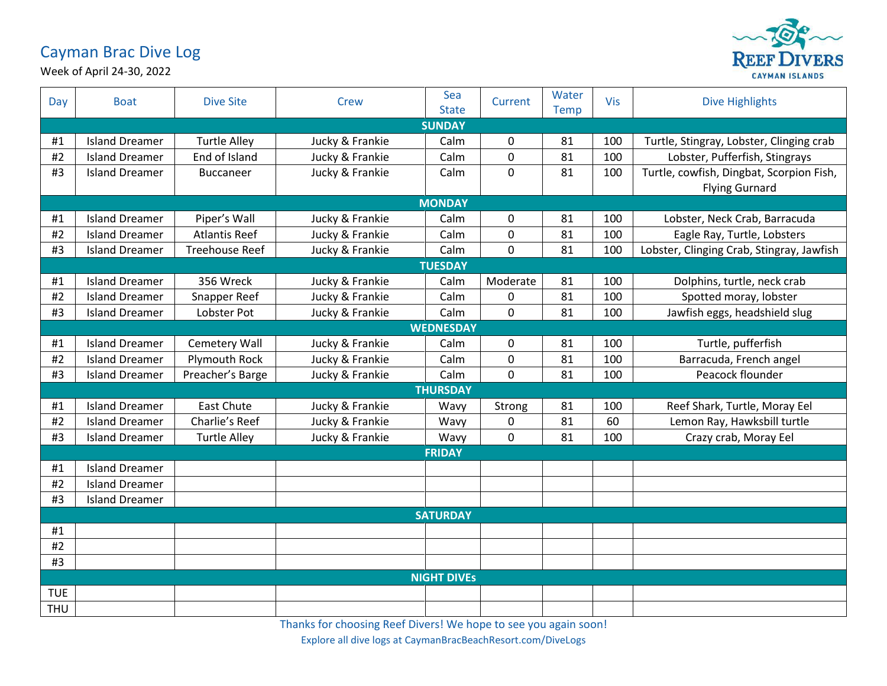## Cayman Brac Dive Log



Week of April 24-30, 2022

| Day             | <b>Boat</b>           | <b>Dive Site</b>      | <b>Crew</b>     | Sea<br><b>State</b> | Current          | Water<br>Temp | <b>Vis</b> | <b>Dive Highlights</b>                    |  |  |
|-----------------|-----------------------|-----------------------|-----------------|---------------------|------------------|---------------|------------|-------------------------------------------|--|--|
|                 | <b>SUNDAY</b>         |                       |                 |                     |                  |               |            |                                           |  |  |
| #1              | <b>Island Dreamer</b> | <b>Turtle Alley</b>   | Jucky & Frankie | Calm                | $\mathbf 0$      | 81            | 100        | Turtle, Stingray, Lobster, Clinging crab  |  |  |
| #2              | <b>Island Dreamer</b> | End of Island         | Jucky & Frankie | Calm                | $\overline{0}$   | 81            | 100        | Lobster, Pufferfish, Stingrays            |  |  |
| #3              | <b>Island Dreamer</b> | <b>Buccaneer</b>      | Jucky & Frankie | Calm                | $\mathbf 0$      | 81            | 100        | Turtle, cowfish, Dingbat, Scorpion Fish,  |  |  |
|                 |                       |                       |                 |                     |                  |               |            | <b>Flying Gurnard</b>                     |  |  |
|                 | <b>MONDAY</b>         |                       |                 |                     |                  |               |            |                                           |  |  |
| #1              | <b>Island Dreamer</b> | Piper's Wall          | Jucky & Frankie | Calm                | $\boldsymbol{0}$ | 81            | 100        | Lobster, Neck Crab, Barracuda             |  |  |
| #2              | <b>Island Dreamer</b> | <b>Atlantis Reef</b>  | Jucky & Frankie | Calm                | $\overline{0}$   | 81            | 100        | Eagle Ray, Turtle, Lobsters               |  |  |
| #3              | <b>Island Dreamer</b> | <b>Treehouse Reef</b> | Jucky & Frankie | Calm                | $\mathbf 0$      | 81            | 100        | Lobster, Clinging Crab, Stingray, Jawfish |  |  |
|                 | <b>TUESDAY</b>        |                       |                 |                     |                  |               |            |                                           |  |  |
| #1              | <b>Island Dreamer</b> | 356 Wreck             | Jucky & Frankie | Calm                | Moderate         | 81            | 100        | Dolphins, turtle, neck crab               |  |  |
| #2              | <b>Island Dreamer</b> | Snapper Reef          | Jucky & Frankie | Calm                | $\mathbf{0}$     | 81            | 100        | Spotted moray, lobster                    |  |  |
| #3              | <b>Island Dreamer</b> | Lobster Pot           | Jucky & Frankie | Calm                | $\mathbf 0$      | 81            | 100        | Jawfish eggs, headshield slug             |  |  |
|                 |                       |                       |                 | <b>WEDNESDAY</b>    |                  |               |            |                                           |  |  |
| #1              | <b>Island Dreamer</b> | Cemetery Wall         | Jucky & Frankie | Calm                | $\mathbf 0$      | 81            | 100        | Turtle, pufferfish                        |  |  |
| #2              | <b>Island Dreamer</b> | <b>Plymouth Rock</b>  | Jucky & Frankie | Calm                | $\mathbf 0$      | 81            | 100        | Barracuda, French angel                   |  |  |
| #3              | <b>Island Dreamer</b> | Preacher's Barge      | Jucky & Frankie | Calm                | $\mathbf 0$      | 81            | 100        | Peacock flounder                          |  |  |
|                 |                       |                       |                 | <b>THURSDAY</b>     |                  |               |            |                                           |  |  |
| #1              | <b>Island Dreamer</b> | <b>East Chute</b>     | Jucky & Frankie | Wavy                | Strong           | 81            | 100        | Reef Shark, Turtle, Moray Eel             |  |  |
| #2              | <b>Island Dreamer</b> | Charlie's Reef        | Jucky & Frankie | Wavy                | 0                | 81            | 60         | Lemon Ray, Hawksbill turtle               |  |  |
| #3              | <b>Island Dreamer</b> | <b>Turtle Alley</b>   | Jucky & Frankie | Wavy                | $\boldsymbol{0}$ | 81            | 100        | Crazy crab, Moray Eel                     |  |  |
|                 |                       |                       |                 | <b>FRIDAY</b>       |                  |               |            |                                           |  |  |
| #1              | <b>Island Dreamer</b> |                       |                 |                     |                  |               |            |                                           |  |  |
| #2              | <b>Island Dreamer</b> |                       |                 |                     |                  |               |            |                                           |  |  |
| #3              | <b>Island Dreamer</b> |                       |                 |                     |                  |               |            |                                           |  |  |
| <b>SATURDAY</b> |                       |                       |                 |                     |                  |               |            |                                           |  |  |
| #1              |                       |                       |                 |                     |                  |               |            |                                           |  |  |
| #2              |                       |                       |                 |                     |                  |               |            |                                           |  |  |
| #3              |                       |                       |                 |                     |                  |               |            |                                           |  |  |
|                 | <b>NIGHT DIVES</b>    |                       |                 |                     |                  |               |            |                                           |  |  |
| <b>TUE</b>      |                       |                       |                 |                     |                  |               |            |                                           |  |  |
| THU             |                       |                       |                 |                     |                  |               |            |                                           |  |  |

Thanks for choosing Reef Divers! We hope to see you again soon!

Explore all dive logs at CaymanBracBeachResort.com/DiveLogs